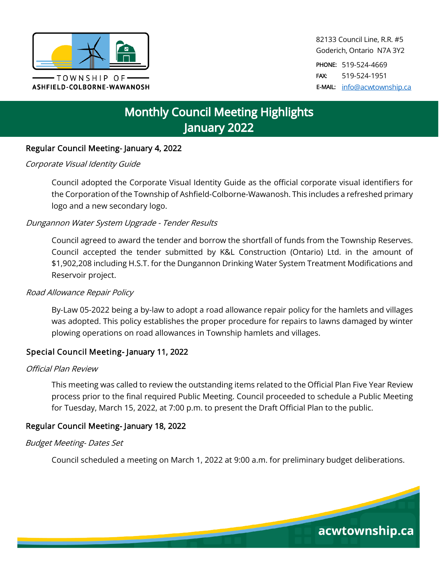

82133 Council Line, R.R. #5 Goderich, Ontario N7A 3Y2

PHONE: 519-524-4669 FAX: 519-524-1951 E-MAIL: [info@acwtownship.ca](mailto:info@acwtownship.ca)

# **Monthly Council Meeting Highlights January 2022**

# Regular Council Meeting- January 4, 2022

# Corporate Visual Identity Guide

Council adopted the Corporate Visual Identity Guide as the official corporate visual identifiers for the Corporation of the Township of Ashfield-Colborne-Wawanosh. This includes a refreshed primary logo and a new secondary logo.

# Dungannon Water System Upgrade - Tender Results

Council agreed to award the tender and borrow the shortfall of funds from the Township Reserves. Council accepted the tender submitted by K&L Construction (Ontario) Ltd. in the amount of \$1,902,208 including H.S.T. for the Dungannon Drinking Water System Treatment Modifications and Reservoir project.

#### Road Allowance Repair Policy

By-Law 05-2022 being a by-law to adopt a road allowance repair policy for the hamlets and villages was adopted. This policy establishes the proper procedure for repairs to lawns damaged by winter plowing operations on road allowances in Township hamlets and villages.

#### Special Council Meeting- January 11, 2022

#### Official Plan Review

This meeting was called to review the outstanding items related to the Official Plan Five Year Review process prior to the final required Public Meeting. Council proceeded to schedule a Public Meeting for Tuesday, March 15, 2022, at 7:00 p.m. to present the Draft Official Plan to the public.

#### Regular Council Meeting- January 18, 2022

#### Budget Meeting- Dates Set

Council scheduled a meeting on March 1, 2022 at 9:00 a.m. for preliminary budget deliberations.